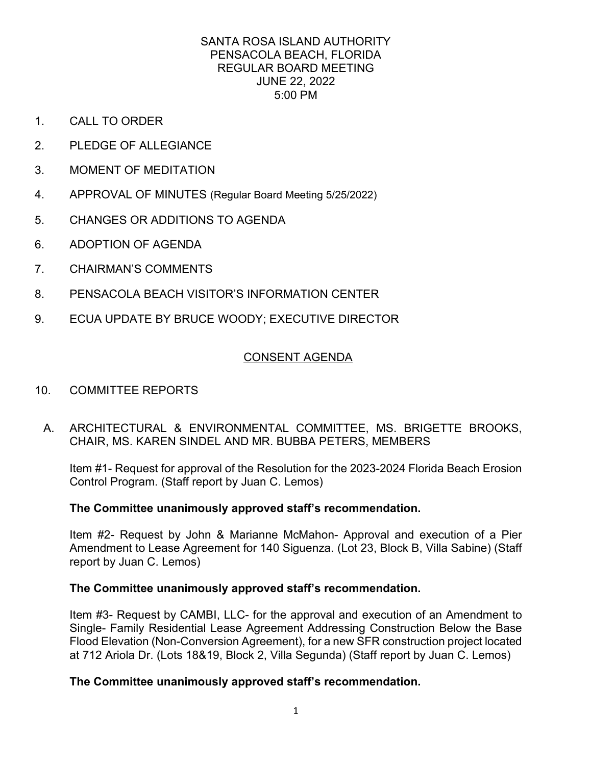- 1. CALL TO ORDER
- 2. PLEDGE OF ALLEGIANCE
- 3. MOMENT OF MEDITATION
- 4. APPROVAL OF MINUTES (Regular Board Meeting 5/25/2022)<br>5. CHANGES OR ADDITIONS TO AGENDA
- 
- 6. ADOPTION OF AGENDA
- 7. CHAIRMAN'S COMMENTS
- 8. PENSACOLA BEACH VISITOR'S INFORMATION CENTER
- 9. ECUA UPDATE BY BRUCE WOODY; EXECUTIVE DIRECTOR

# **CONSENT AGENDA**

- **COMMITTEE REPORTS**
- 10. COMMITTEE REPORTS<br>A. ARCHITECTURAL & ENVIRONMENTAL COMMITTEE, MS. BRIGETTE BROOKS, CHAIR, MS. KAREN SINDEL AND MR. BUBBA PETERS, MEMBERS

Item #1- Request for approval of the Resolution for the 2023-2024 Florida Beach Erosion Control Program. (Staff report by Juan C. Lemos)

## **The Committee unanimously approved staff's recommendation.**

 Item #2- Request by John & Marianne McMahon- Approval and execution of a Pier Amendment to Lease Agreement for 140 Siguenza. (Lot 23, Block B, Villa Sabine) (Staff report by Juan C. Lemos)

## **The Committee unanimously approved staff's recommendation.**

 at 712 Ariola Dr. (Lots 18&19, Block 2, Villa Segunda) (Staff report by Juan C. Lemos) Item #3- Request by CAMBI, LLC- for the approval and execution of an Amendment to Single- Family Residential Lease Agreement Addressing Construction Below the Base Flood Elevation (Non-Conversion Agreement), for a new SFR construction project located

## **The Committee unanimously approved staff's recommendation.**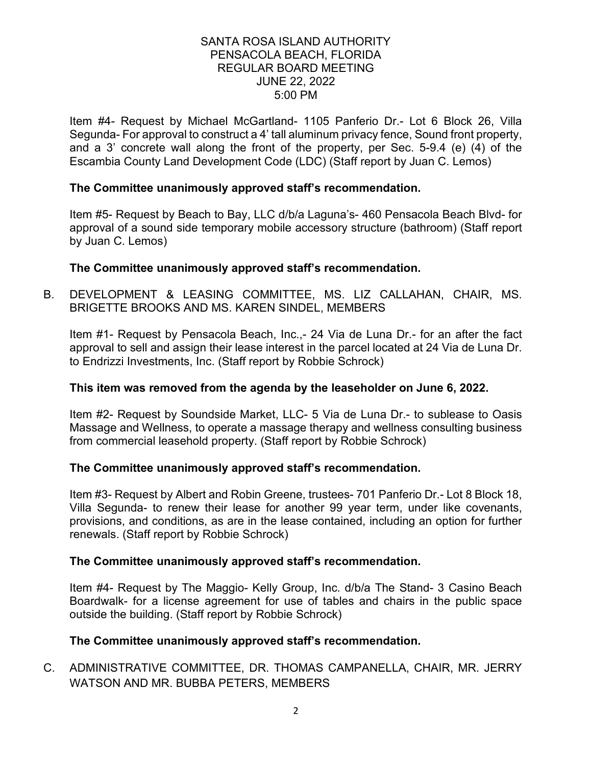Item #4- Request by Michael McGartland- 1105 Panferio Dr.- Lot 6 Block 26, Villa and a 3' concrete wall along the front of the property, per Sec. 5-9.4 (e) (4) of the Segunda- For approval to construct a 4' tall aluminum privacy fence, Sound front property, Escambia County Land Development Code (LDC) (Staff report by Juan C. Lemos)

## **The Committee unanimously approved staff's recommendation.**

 Item #5- Request by Beach to Bay, LLC d/b/a Laguna's- 460 Pensacola Beach Blvd- for approval of a sound side temporary mobile accessory structure (bathroom) (Staff report by Juan C. Lemos)

## **The Committee unanimously approved staff's recommendation.**

B. DEVELOPMENT & LEASING COMMITTEE, MS. LIZ CALLAHAN, CHAIR, MS. BRIGETTE BROOKS AND MS. KAREN SINDEL, MEMBERS

 Item #1- Request by Pensacola Beach, Inc.,- 24 Via de Luna Dr.- for an after the fact approval to sell and assign their lease interest in the parcel located at 24 Via de Luna Dr. to Endrizzi Investments, Inc. (Staff report by Robbie Schrock)

## **This item was removed from the agenda by the leaseholder on June 6, 2022.**

Item #2- Request by Soundside Market, LLC- 5 Via de Luna Dr.- to sublease to Oasis Massage and Wellness, to operate a massage therapy and wellness consulting business from commercial leasehold property. (Staff report by Robbie Schrock)

## **The Committee unanimously approved staff's recommendation.**

 provisions, and conditions, as are in the lease contained, including an option for further Item #3- Request by Albert and Robin Greene, trustees- 701 Panferio Dr.- Lot 8 Block 18, Villa Segunda- to renew their lease for another 99 year term, under like covenants, renewals. (Staff report by Robbie Schrock)

## **The Committee unanimously approved staff's recommendation.**

Item #4- Request by The Maggio- Kelly Group, Inc. d/b/a The Stand- 3 Casino Beach Boardwalk- for a license agreement for use of tables and chairs in the public space outside the building. (Staff report by Robbie Schrock)

## **The Committee unanimously approved staff's recommendation.**

C. ADMINISTRATIVE COMMITTEE, DR. THOMAS CAMPANELLA, CHAIR, MR. JERRY WATSON AND MR. BUBBA PETERS, MEMBERS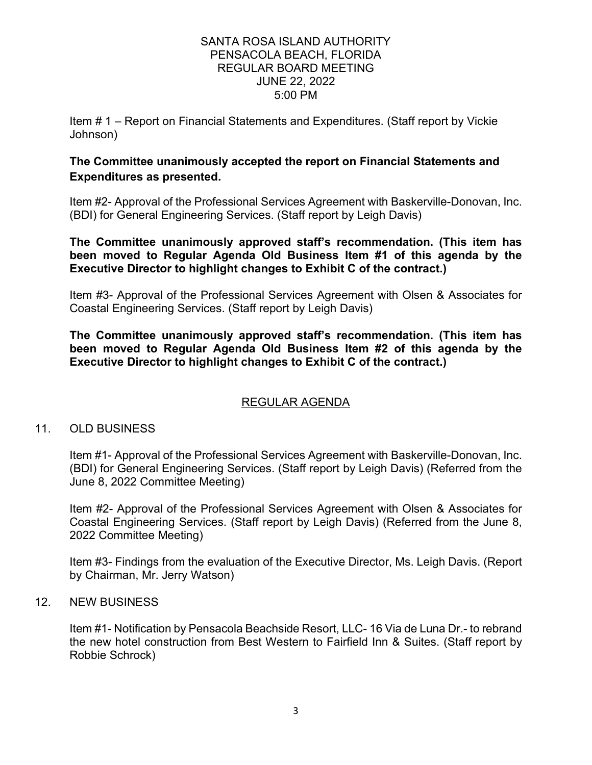Item # 1 – Report on Financial Statements and Expenditures. (Staff report by Vickie Johnson)

# **The Committee unanimously accepted the report on Financial Statements and Expenditures as presented.**

Item #2- Approval of the Professional Services Agreement with Baskerville-Donovan, Inc. (BDI) for General Engineering Services. (Staff report by Leigh Davis)

 **been moved to Regular Agenda Old Business Item #1 of this agenda by the Executive Director to highlight changes to Exhibit C of the contract.) The Committee unanimously approved staff's recommendation. (This item has** 

Item #3- Approval of the Professional Services Agreement with Olsen & Associates for Coastal Engineering Services. (Staff report by Leigh Davis)

 **been moved to Regular Agenda Old Business Item #2 of this agenda by the The Committee unanimously approved staff's recommendation. (This item has Executive Director to highlight changes to Exhibit C of the contract.)** 

# REGULAR AGENDA

## 11. OLD BUSINESS

Item #1- Approval of the Professional Services Agreement with Baskerville-Donovan, Inc. (BDI) for General Engineering Services. (Staff report by Leigh Davis) (Referred from the June 8, 2022 Committee Meeting)

Item #2- Approval of the Professional Services Agreement with Olsen & Associates for Coastal Engineering Services. (Staff report by Leigh Davis) (Referred from the June 8, 2022 Committee Meeting)

Item #3- Findings from the evaluation of the Executive Director, Ms. Leigh Davis. (Report by Chairman, Mr. Jerry Watson)

## 12. NEW BUSINESS

 the new hotel construction from Best Western to Fairfield Inn & Suites. (Staff report by Item #1- Notification by Pensacola Beachside Resort, LLC- 16 Via de Luna Dr.- to rebrand Robbie Schrock)